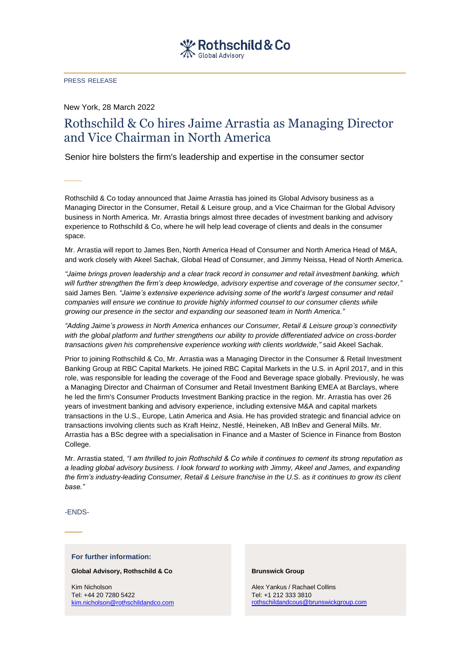PRESS RELEASE

New York, 28 March 2022

## Rothschild & Co hires Jaime Arrastia as Managing Director and Vice Chairman in North America

Senior hire bolsters the firm's leadership and expertise in the consumer sector

Rothschild & Co today announced that Jaime Arrastia has joined its Global Advisory business as a Managing Director in the Consumer, Retail & Leisure group, and a Vice Chairman for the Global Advisory business in North America. Mr. Arrastia brings almost three decades of investment banking and advisory experience to Rothschild & Co, where he will help lead coverage of clients and deals in the consumer space.

Mr. Arrastia will report to James Ben, North America Head of Consumer and North America Head of M&A, and work closely with Akeel Sachak, Global Head of Consumer, and Jimmy Neissa, Head of North America.

*"Jaime brings proven leadership and a clear track record in consumer and retail investment banking, which will further strengthen the firm's deep knowledge, advisory expertise and coverage of the consumer sector,"* said James Ben*. "Jaime's extensive experience advising some of the world's largest consumer and retail companies will ensure we continue to provide highly informed counsel to our consumer clients while growing our presence in the sector and expanding our seasoned team in North America."*

*"Adding Jaime's prowess in North America enhances our Consumer, Retail & Leisure group's connectivity with the global platform and further strengthens our ability to provide differentiated advice on cross-border transactions given his comprehensive experience working with clients worldwide,"* said Akeel Sachak.

Prior to joining Rothschild & Co, Mr. Arrastia was a Managing Director in the Consumer & Retail Investment Banking Group at RBC Capital Markets. He joined RBC Capital Markets in the U.S. in April 2017, and in this role, was responsible for leading the coverage of the Food and Beverage space globally. Previously, he was a Managing Director and Chairman of Consumer and Retail Investment Banking EMEA at Barclays, where he led the firm's Consumer Products Investment Banking practice in the region. Mr. Arrastia has over 26 years of investment banking and advisory experience, including extensive M&A and capital markets transactions in the U.S., Europe, Latin America and Asia. He has provided strategic and financial advice on transactions involving clients such as Kraft Heinz, Nestlé, Heineken, AB InBev and General Mills. Mr. Arrastia has a BSc degree with a specialisation in Finance and a Master of Science in Finance from Boston College.

Mr. Arrastia stated*, "I am thrilled to join Rothschild & Co while it continues to cement its strong reputation as a leading global advisory business. I look forward to working with Jimmy, Akeel and James, and expanding the firm's industry-leading Consumer, Retail & Leisure franchise in the U.S. as it continues to grow its client base."*

-ENDS-

## **For further information:**

**Global Advisory, Rothschild & Co**

Kim Nicholson Tel: +44 20 7280 5422 [kim.nicholson@rothschildandco.com](mailto:kim.nicholson@rothschildandco.com)

## **Brunswick Group**

Alex Yankus / Rachael Collins Tel: +1 212 333 3810 [rothschildandcous@brunswickgroup.com](mailto:ROTHSCHILDandCoUS@brunswickgroup.com)